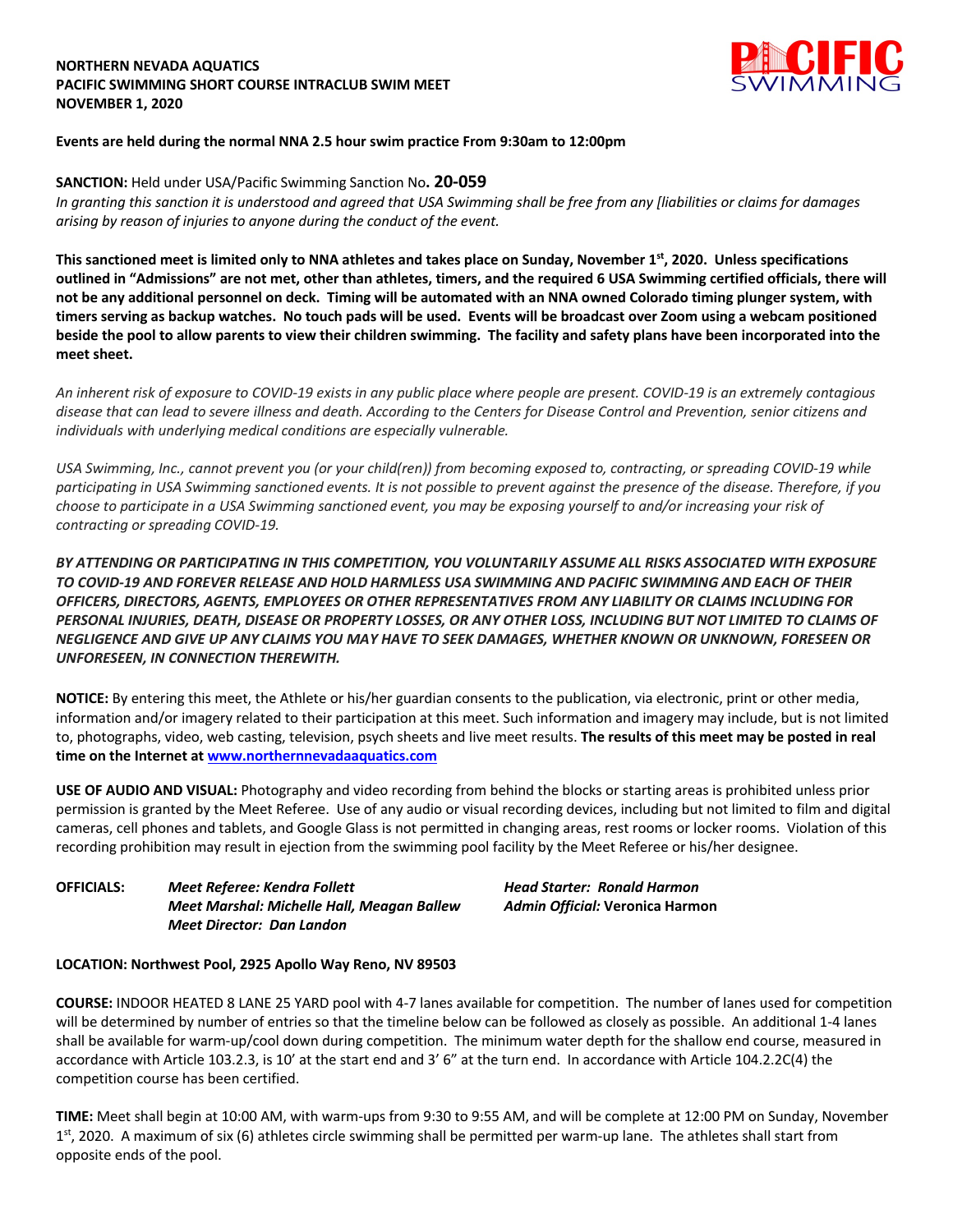### **NORTHERN NEVADA AQUATICS PACIFIC SWIMMING SHORT COURSE INTRACLUB SWIM MEET NOVEMBER 1, 2020**



### **Events are held during the normal NNA 2.5 hour swim practice From 9:30am to 12:00pm**

**SANCTION:** Held under USA/Pacific Swimming Sanction No**. 20-059** *In granting this sanction it is understood and agreed that USA Swimming shall be free from any [liabilities or claims for damages arising by reason of injuries to anyone during the conduct of the event.*

**This sanctioned meet is limited only to NNA athletes and takes place on Sunday, November 1st, 2020. Unless specifications outlined in "Admissions" are not met, other than athletes, timers, and the required 6 USA Swimming certified officials, there will not be any additional personnel on deck. Timing will be automated with an NNA owned Colorado timing plunger system, with timers serving as backup watches. No touch pads will be used. Events will be broadcast over Zoom using a webcam positioned beside the pool to allow parents to view their children swimming. The facility and safety plans have been incorporated into the meet sheet.**

An inherent risk of exposure to COVID-19 exists in any public place where people are present. COVID-19 is an extremely contagious disease that can lead to severe illness and death. According to the Centers for Disease Control and Prevention, senior citizens and *individuals with underlying medical conditions are especially vulnerable.*

USA Swimming, Inc., cannot prevent you (or your child(ren)) from becoming exposed to, contracting, or spreading COVID-19 while participating in USA Swimming sanctioned events. It is not possible to prevent against the presence of the disease. Therefore, if you choose to participate in a USA Swimming sanctioned event, you may be exposing yourself to and/or increasing your risk of *contracting or spreading COVID-19.*

*BY ATTENDING OR PARTICIPATING IN THIS COMPETITION, YOU VOLUNTARILY ASSUME ALL RISKS ASSOCIATED WITH EXPOSURE TO COVID-19 AND FOREVER RELEASE AND HOLD HARMLESS USA SWIMMING AND PACIFIC SWIMMING AND EACH OF THEIR OFFICERS, DIRECTORS, AGENTS, EMPLOYEES OR OTHER REPRESENTATIVES FROM ANY LIABILITY OR CLAIMS INCLUDING FOR* PERSONAL INJURIES, DEATH, DISEASE OR PROPERTY LOSSES, OR ANY OTHER LOSS, INCLUDING BUT NOT LIMITED TO CLAIMS OF NEGLIGENCE AND GIVE UP ANY CLAIMS YOU MAY HAVE TO SEEK DAMAGES, WHETHER KNOWN OR UNKNOWN, FORESEEN OR *UNFORESEEN, IN CONNECTION THEREWITH.*

**NOTICE:** By entering this meet, the Athlete or his/her guardian consents to the publication, via electronic, print or other media, information and/or imagery related to their participation at this meet. Such information and imagery may include, but is not limited to, photographs, video, web casting, television, psych sheets and live meet results. **The results of this meet may be posted in real time on the Internet at www.northernnevadaaquatics.com**

**USE OF AUDIO AND VISUAL:** Photography and video recording from behind the blocks or starting areas is prohibited unless prior permission is granted by the Meet Referee. Use of any audio or visual recording devices, including but not limited to film and digital cameras, cell phones and tablets, and Google Glass is not permitted in changing areas, rest rooms or locker rooms. Violation of this recording prohibition may result in ejection from the swimming pool facility by the Meet Referee or his/her designee.

**OFFICIALS:** *Meet Referee: Kendra Follett Head Starter: Ronald Harmon Meet Marshal: Michelle Hall, Meagan Ballew Admin Official:* **Veronica Harmon** *Meet Director: Dan Landon*

#### **LOCATION: Northwest Pool, 2925 Apollo Way Reno, NV 89503**

**COURSE:** INDOOR HEATED 8 LANE 25 YARD pool with 4-7 lanes available for competition. The number of lanes used for competition will be determined by number of entries so that the timeline below can be followed as closely as possible. An additional 1-4 lanes shall be available for warm-up/cool down during competition. The minimum water depth for the shallow end course, measured in accordance with Article 103.2.3, is 10' at the start end and 3' 6" at the turn end. In accordance with Article 104.2.2C(4) the competition course has been certified.

**TIME:** Meet shall begin at 10:00 AM, with warm-ups from 9:30 to 9:55 AM, and will be complete at 12:00 PM on Sunday, November  $1<sup>st</sup>$ , 2020. A maximum of six (6) athletes circle swimming shall be permitted per warm-up lane. The athletes shall start from opposite ends of the pool.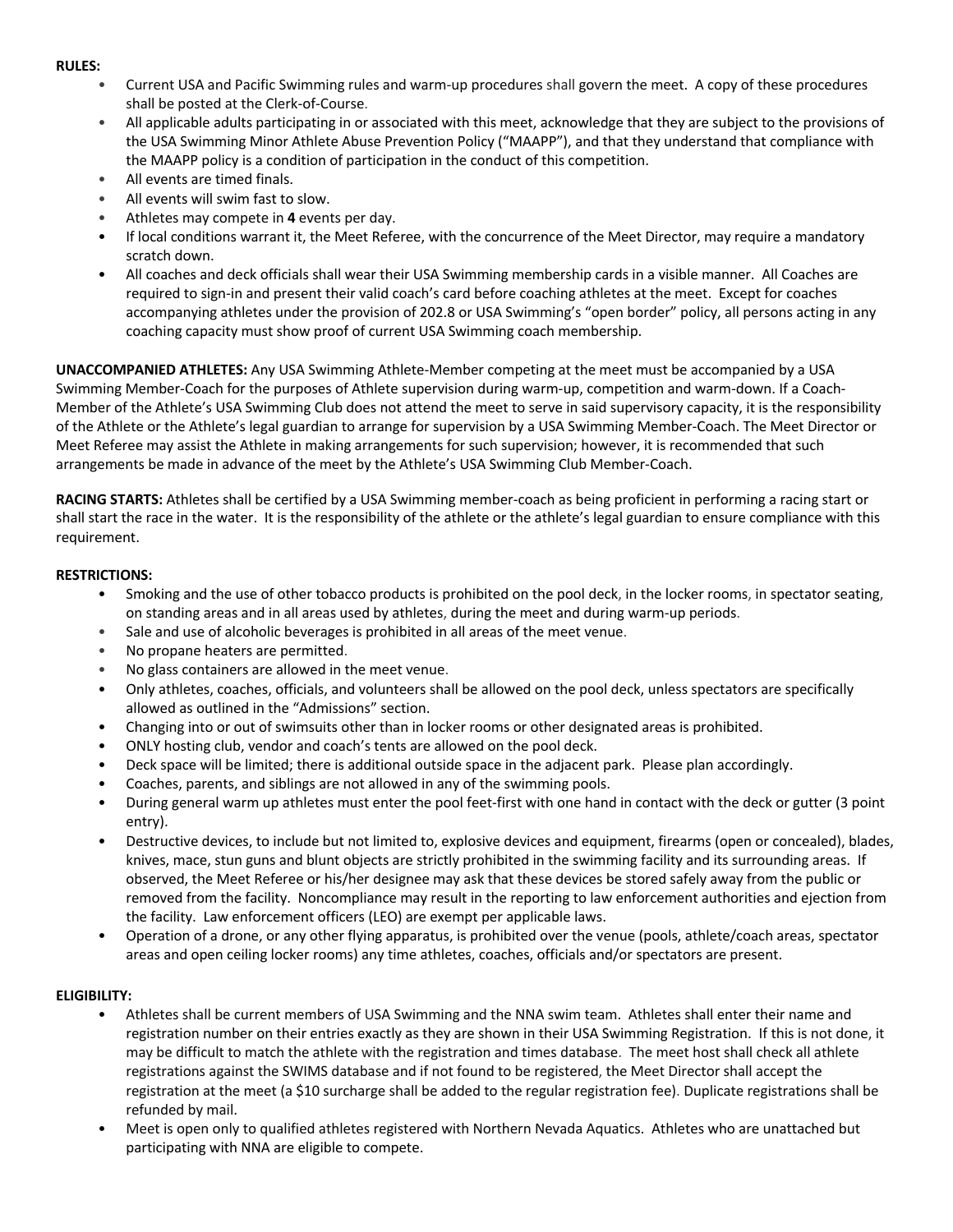#### **RULES:**

- Current USA and Pacific Swimming rules and warm-up procedures shall govern the meet. A copy of these procedures shall be posted at the Clerk-of-Course.
- All applicable adults participating in or associated with this meet, acknowledge that they are subject to the provisions of the USA Swimming Minor Athlete Abuse Prevention Policy ("MAAPP"), and that they understand that compliance with the MAAPP policy is a condition of participation in the conduct of this competition.
- All events are timed finals.
- All events will swim fast to slow.
- Athletes may compete in **4** events per day.
- If local conditions warrant it, the Meet Referee, with the concurrence of the Meet Director, may require a mandatory scratch down.
- All coaches and deck officials shall wear their USA Swimming membership cards in a visible manner. All Coaches are required to sign-in and present their valid coach's card before coaching athletes at the meet. Except for coaches accompanying athletes under the provision of 202.8 or USA Swimming's "open border" policy, all persons acting in any coaching capacity must show proof of current USA Swimming coach membership.

**UNACCOMPANIED ATHLETES:** Any USA Swimming Athlete-Member competing at the meet must be accompanied by a USA Swimming Member-Coach for the purposes of Athlete supervision during warm-up, competition and warm-down. If a Coach-Member of the Athlete's USA Swimming Club does not attend the meet to serve in said supervisory capacity, it is the responsibility of the Athlete or the Athlete's legal guardian to arrange for supervision by a USA Swimming Member-Coach. The Meet Director or Meet Referee may assist the Athlete in making arrangements for such supervision; however, it is recommended that such arrangements be made in advance of the meet by the Athlete's USA Swimming Club Member-Coach.

**RACING STARTS:** Athletes shall be certified by a USA Swimming member-coach as being proficient in performing a racing start or shall start the race in the water. It is the responsibility of the athlete or the athlete's legal guardian to ensure compliance with this requirement.

### **RESTRICTIONS:**

- Smoking and the use of other tobacco products is prohibited on the pool deck, in the locker rooms, in spectator seating, on standing areas and in all areas used by athletes, during the meet and during warm-up periods.
- Sale and use of alcoholic beverages is prohibited in all areas of the meet venue.
- No propane heaters are permitted.
- No glass containers are allowed in the meet venue.
- Only athletes, coaches, officials, and volunteers shall be allowed on the pool deck, unless spectators are specifically allowed as outlined in the "Admissions" section.
- Changing into or out of swimsuits other than in locker rooms or other designated areas is prohibited.
- ONLY hosting club, vendor and coach's tents are allowed on the pool deck.
- Deck space will be limited; there is additional outside space in the adjacent park. Please plan accordingly.
- Coaches, parents, and siblings are not allowed in any of the swimming pools.
- During general warm up athletes must enter the pool feet-first with one hand in contact with the deck or gutter (3 point entry).
- Destructive devices, to include but not limited to, explosive devices and equipment, firearms (open or concealed), blades, knives, mace, stun guns and blunt objects are strictly prohibited in the swimming facility and its surrounding areas. If observed, the Meet Referee or his/her designee may ask that these devices be stored safely away from the public or removed from the facility. Noncompliance may result in the reporting to law enforcement authorities and ejection from the facility. Law enforcement officers (LEO) are exempt per applicable laws.
- Operation of a drone, or any other flying apparatus, is prohibited over the venue (pools, athlete/coach areas, spectator areas and open ceiling locker rooms) any time athletes, coaches, officials and/or spectators are present.

### **ELIGIBILITY:**

- Athletes shall be current members of USA Swimming and the NNA swim team. Athletes shall enter their name and registration number on their entries exactly as they are shown in their USA Swimming Registration. If this is not done, it may be difficult to match the athlete with the registration and times database. The meet host shall check all athlete registrations against the SWIMS database and if not found to be registered, the Meet Director shall accept the registration at the meet (a \$10 surcharge shall be added to the regular registration fee). Duplicate registrations shall be refunded by mail.
- Meet is open only to qualified athletes registered with Northern Nevada Aquatics. Athletes who are unattached but participating with NNA are eligible to compete.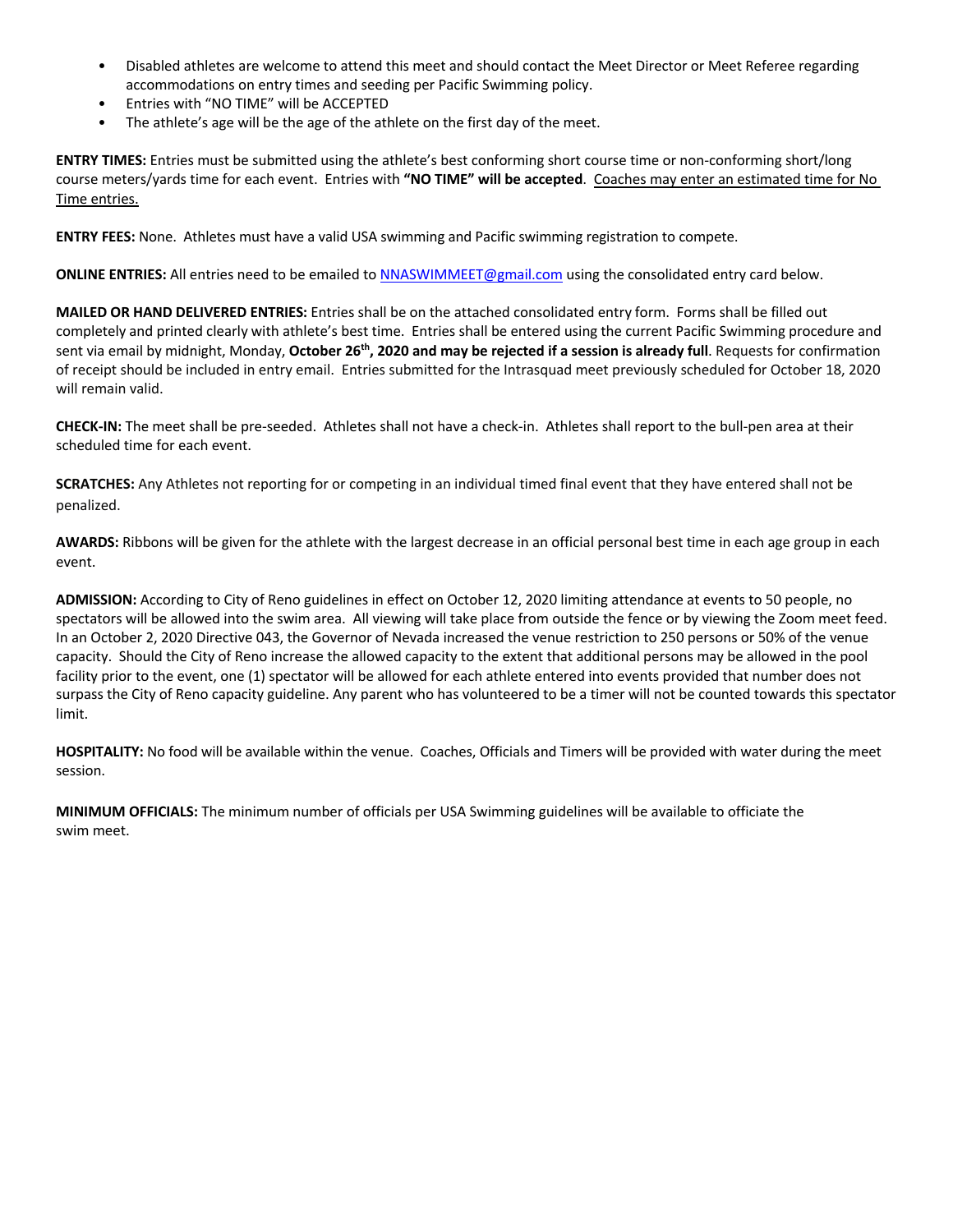- Disabled athletes are welcome to attend this meet and should contact the Meet Director or Meet Referee regarding accommodations on entry times and seeding per Pacific Swimming policy.
- Entries with "NO TIME" will be ACCEPTED
- The athlete's age will be the age of the athlete on the first day of the meet.

**ENTRY TIMES:** Entries must be submitted using the athlete's best conforming short course time or non-conforming short/long course meters/yards time for each event. Entries with **"NO TIME" will be accepted**. Coaches may enter an estimated time for No Time entries.

**ENTRY FEES:** None. Athletes must have a valid USA swimming and Pacific swimming registration to compete.

**ONLINE ENTRIES:** All entries need to be emailed to NNASWIMMEET@gmail.com using the consolidated entry card below.

**MAILED OR HAND DELIVERED ENTRIES:** Entries shall be on the attached consolidated entry form. Forms shall be filled out completely and printed clearly with athlete's best time. Entries shall be entered using the current Pacific Swimming procedure and sent via email by midnight, Monday, **October 26th, 2020 and may be rejected if a session is already full**. Requests for confirmation of receipt should be included in entry email. Entries submitted for the Intrasquad meet previously scheduled for October 18, 2020 will remain valid.

**CHECK-IN:** The meet shall be pre-seeded. Athletes shall not have a check-in. Athletes shall report to the bull-pen area at their scheduled time for each event.

**SCRATCHES:** Any Athletes not reporting for or competing in an individual timed final event that they have entered shall not be penalized.

**AWARDS:** Ribbons will be given for the athlete with the largest decrease in an official personal best time in each age group in each event.

**ADMISSION:** According to City of Reno guidelines in effect on October 12, 2020 limiting attendance at events to 50 people, no spectators will be allowed into the swim area. All viewing will take place from outside the fence or by viewing the Zoom meet feed. In an October 2, 2020 Directive 043, the Governor of Nevada increased the venue restriction to 250 persons or 50% of the venue capacity. Should the City of Reno increase the allowed capacity to the extent that additional persons may be allowed in the pool facility prior to the event, one (1) spectator will be allowed for each athlete entered into events provided that number does not surpass the City of Reno capacity guideline. Any parent who has volunteered to be a timer will not be counted towards this spectator limit.

**HOSPITALITY:** No food will be available within the venue. Coaches, Officials and Timers will be provided with water during the meet session.

**MINIMUM OFFICIALS:** The minimum number of officials per USA Swimming guidelines will be available to officiate the swim meet.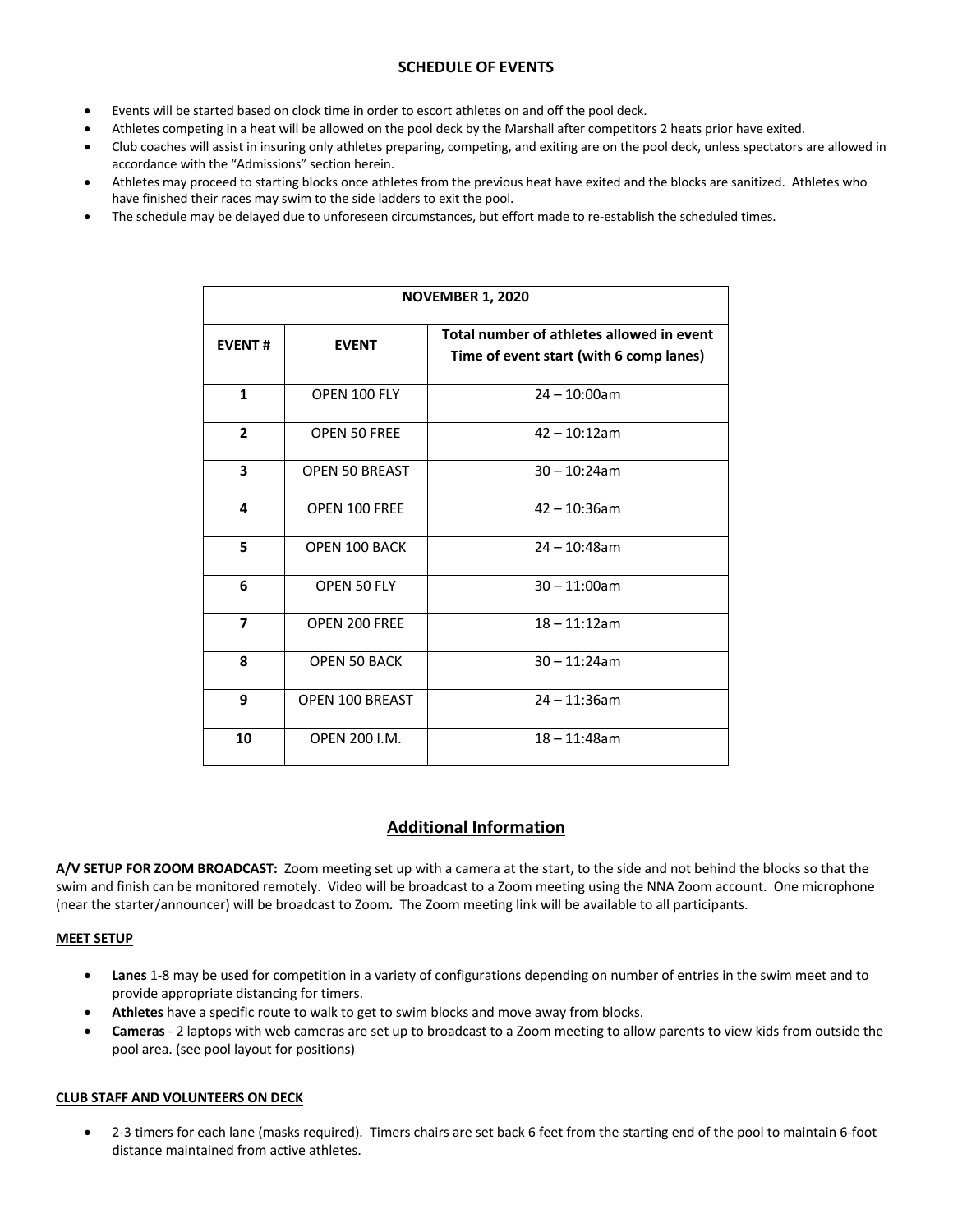# **SCHEDULE OF EVENTS**

- Events will be started based on clock time in order to escort athletes on and off the pool deck.
- Athletes competing in a heat will be allowed on the pool deck by the Marshall after competitors 2 heats prior have exited.
- Club coaches will assist in insuring only athletes preparing, competing, and exiting are on the pool deck, unless spectators are allowed in accordance with the "Admissions" section herein.
- Athletes may proceed to starting blocks once athletes from the previous heat have exited and the blocks are sanitized. Athletes who have finished their races may swim to the side ladders to exit the pool.
- The schedule may be delayed due to unforeseen circumstances, but effort made to re-establish the scheduled times.

| <b>NOVEMBER 1, 2020</b> |                        |                                                                                      |  |  |  |  |  |  |  |
|-------------------------|------------------------|--------------------------------------------------------------------------------------|--|--|--|--|--|--|--|
| <b>EVENT#</b>           | <b>EVENT</b>           | Total number of athletes allowed in event<br>Time of event start (with 6 comp lanes) |  |  |  |  |  |  |  |
| $\mathbf{1}$            | OPEN 100 FLY           | $24 - 10:00$ am                                                                      |  |  |  |  |  |  |  |
| $\overline{2}$          | <b>OPEN 50 FREE</b>    | $42 - 10:12$ am                                                                      |  |  |  |  |  |  |  |
| 3                       | <b>OPEN 50 BREAST</b>  | $30 - 10:24$ am                                                                      |  |  |  |  |  |  |  |
| 4                       | <b>OPEN 100 FREE</b>   | $42 - 10:36$ am                                                                      |  |  |  |  |  |  |  |
| 5                       | <b>OPEN 100 BACK</b>   | $24 - 10:48$ am                                                                      |  |  |  |  |  |  |  |
| 6                       | OPEN 50 FLY            | $30 - 11:00$ am                                                                      |  |  |  |  |  |  |  |
| $\overline{\mathbf{z}}$ | OPEN 200 FREE          | $18 - 11:12$ am                                                                      |  |  |  |  |  |  |  |
| 8                       | OPEN 50 BACK           | $30 - 11:24$ am                                                                      |  |  |  |  |  |  |  |
| 9                       | <b>OPEN 100 BREAST</b> | $24 - 11:36$ am                                                                      |  |  |  |  |  |  |  |
| 10                      | OPEN 200 I.M.          | $18 - 11:48$ am                                                                      |  |  |  |  |  |  |  |

# **Additional Information**

**A/V SETUP FOR ZOOM BROADCAST:** Zoom meeting set up with a camera at the start, to the side and not behind the blocks so that the swim and finish can be monitored remotely. Video will be broadcast to a Zoom meeting using the NNA Zoom account.One microphone (near the starter/announcer) will be broadcast to Zoom**.** The Zoom meeting link will be available to all participants.

### **MEET SETUP**

- **Lanes** 1-8 may be used for competition in a variety of configurations depending on number of entries in the swim meet and to provide appropriate distancing for timers.
- **Athletes** have a specific route to walk to get to swim blocks and move away from blocks.
- **Cameras** 2 laptops with web cameras are set up to broadcast to a Zoom meeting to allow parents to view kids from outside the pool area. (see pool layout for positions)

### **CLUB STAFF AND VOLUNTEERS ON DECK**

• 2-3 timers for each lane (masks required). Timers chairs are set back 6 feet from the starting end of the pool to maintain 6-foot distance maintained from active athletes.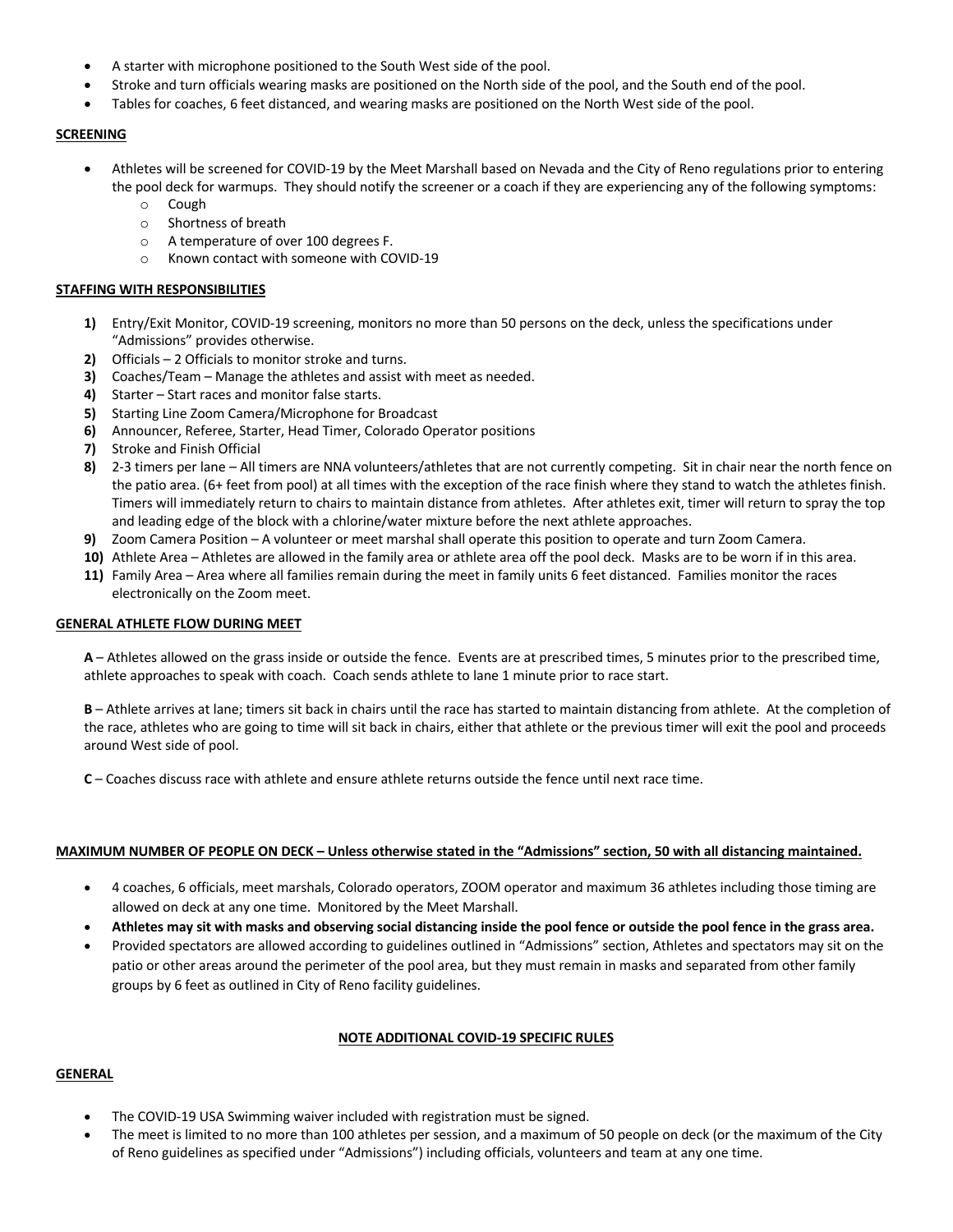- A starter with microphone positioned to the South West side of the pool.
- Stroke and turn officials wearing masks are positioned on the North side of the pool, and the South end of the pool.
- Tables for coaches, 6 feet distanced, and wearing masks are positioned on the North West side of the pool.

#### **SCREENING**

- Athletes will be screened for COVID-19 by the Meet Marshall based on Nevada and the City of Reno regulations prior to entering the pool deck for warmups. They should notify the screener or a coach if they are experiencing any of the following symptoms:
	- o Cough
	- o Shortness of breath
	- o A temperature of over 100 degrees F.
	- o Known contact with someone with COVID-19

#### **STAFFING WITH RESPONSIBILITIES**

- **1)** Entry/Exit Monitor, COVID-19 screening, monitors no more than 50 persons on the deck, unless the specifications under "Admissions" provides otherwise.
- **2)** Officials 2 Officials to monitor stroke and turns.
- **3)** Coaches/Team Manage the athletes and assist with meet as needed.
- **4)** Starter Start races and monitor false starts.
- **5)** Starting Line Zoom Camera/Microphone for Broadcast
- **6)** Announcer, Referee, Starter, Head Timer, Colorado Operator positions
- **7)** Stroke and Finish Official
- **8)** 2-3 timers per lane All timers are NNA volunteers/athletes that are not currently competing. Sit in chair near the north fence on the patio area. (6+ feet from pool) at all times with the exception of the race finish where they stand to watch the athletes finish. Timers will immediately return to chairs to maintain distance from athletes. After athletes exit, timer will return to spray the top and leading edge of the block with a chlorine/water mixture before the next athlete approaches.
- **9)** Zoom Camera Position A volunteer or meet marshal shall operate this position to operate and turn Zoom Camera.
- **10)** Athlete Area Athletes are allowed in the family area or athlete area off the pool deck. Masks are to be worn if in this area.
- **11)** Family Area Area where all families remain during the meet in family units 6 feet distanced. Families monitor the races electronically on the Zoom meet.

#### **GENERAL ATHLETE FLOW DURING MEET**

**A** – Athletes allowed on the grass inside or outside the fence. Events are at prescribed times, 5 minutes prior to the prescribed time, athlete approaches to speak with coach. Coach sends athlete to lane 1 minute prior to race start.

**B** – Athlete arrives at lane; timers sit back in chairs until the race has started to maintain distancing from athlete. At the completion of the race, athletes who are going to time will sit back in chairs, either that athlete or the previous timer will exit the pool and proceeds around West side of pool.

**C** – Coaches discuss race with athlete and ensure athlete returns outside the fence until next race time.

#### **MAXIMUM NUMBER OF PEOPLE ON DECK – Unless otherwise stated in the "Admissions" section, 50 with all distancing maintained.**

- 4 coaches, 6 officials, meet marshals, Colorado operators, ZOOM operator and maximum 36 athletes including those timing are allowed on deck at any one time. Monitored by the Meet Marshall.
- **Athletes may sit with masks and observing social distancing inside the pool fence or outside the pool fence in the grass area.**
- Provided spectators are allowed according to guidelines outlined in "Admissions" section, Athletes and spectators may sit on the patio or other areas around the perimeter of the pool area, but they must remain in masks and separated from other family groups by 6 feet as outlined in City of Reno facility guidelines.

#### **NOTE ADDITIONAL COVID-19 SPECIFIC RULES**

# **GENERAL**

- The COVID-19 USA Swimming waiver included with registration must be signed.
- The meet is limited to no more than 100 athletes per session, and a maximum of 50 people on deck (or the maximum of the City of Reno guidelines as specified under "Admissions") including officials, volunteers and team at any one time.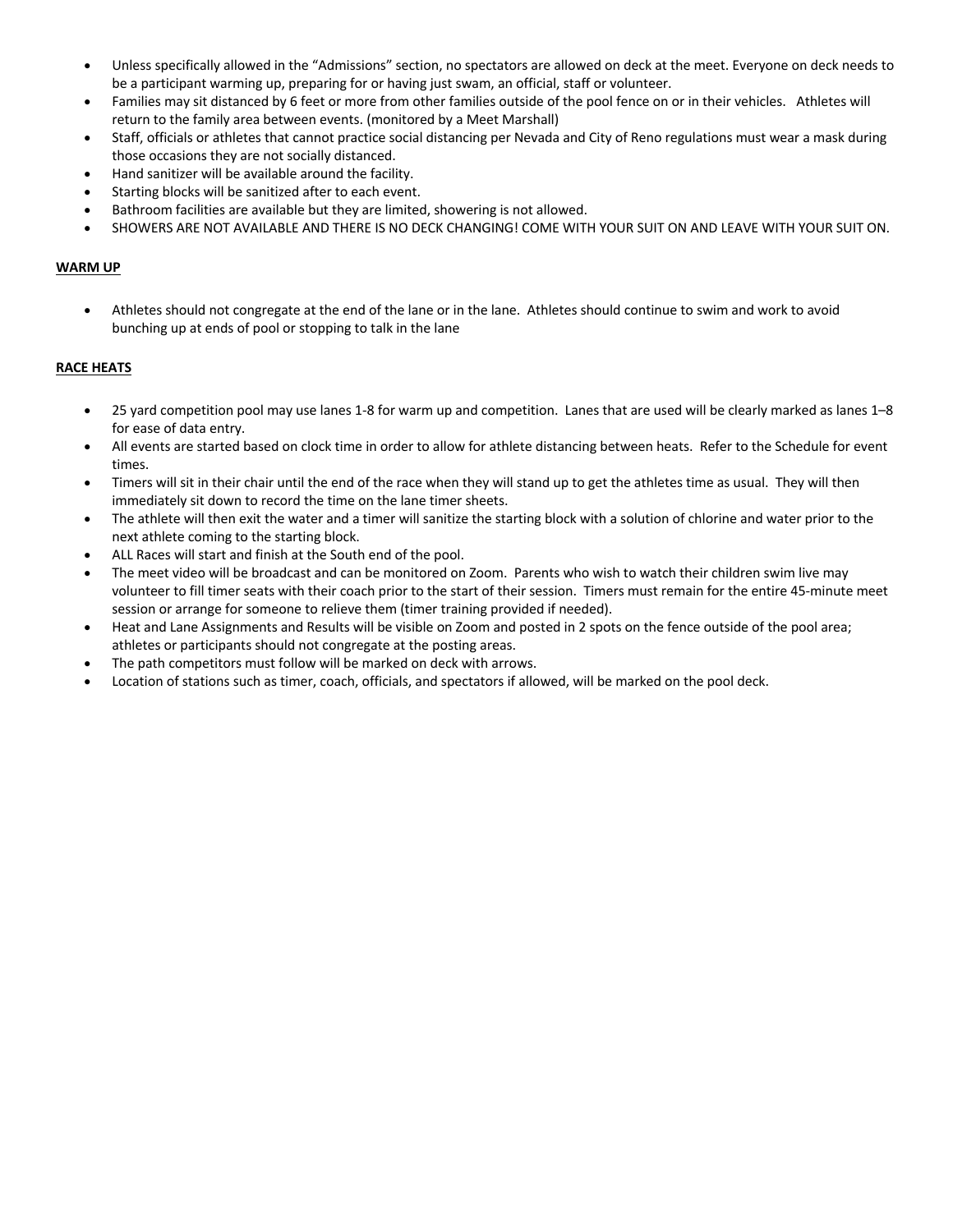- Unless specifically allowed in the "Admissions" section, no spectators are allowed on deck at the meet. Everyone on deck needs to be a participant warming up, preparing for or having just swam, an official, staff or volunteer.
- Families may sit distanced by 6 feet or more from other families outside of the pool fence on or in their vehicles. Athletes will return to the family area between events. (monitored by a Meet Marshall)
- Staff, officials or athletes that cannot practice social distancing per Nevada and City of Reno regulations must wear a mask during those occasions they are not socially distanced.
- Hand sanitizer will be available around the facility.
- Starting blocks will be sanitized after to each event.
- Bathroom facilities are available but they are limited, showering is not allowed.
- SHOWERS ARE NOT AVAILABLE AND THERE IS NO DECK CHANGING! COME WITH YOUR SUIT ON AND LEAVE WITH YOUR SUIT ON.

### **WARM UP**

• Athletes should not congregate at the end of the lane or in the lane. Athletes should continue to swim and work to avoid bunching up at ends of pool or stopping to talk in the lane

### **RACE HEATS**

- 25 yard competition pool may use lanes 1-8 for warm up and competition. Lanes that are used will be clearly marked as lanes 1–8 for ease of data entry.
- All events are started based on clock time in order to allow for athlete distancing between heats. Refer to the Schedule for event times.
- Timers will sit in their chair until the end of the race when they will stand up to get the athletes time as usual. They will then immediately sit down to record the time on the lane timer sheets.
- The athlete will then exit the water and a timer will sanitize the starting block with a solution of chlorine and water prior to the next athlete coming to the starting block.
- ALL Races will start and finish at the South end of the pool.
- The meet video will be broadcast and can be monitored on Zoom. Parents who wish to watch their children swim live may volunteer to fill timer seats with their coach prior to the start of their session. Timers must remain for the entire 45-minute meet session or arrange for someone to relieve them (timer training provided if needed).
- Heat and Lane Assignments and Results will be visible on Zoom and posted in 2 spots on the fence outside of the pool area; athletes or participants should not congregate at the posting areas.
- The path competitors must follow will be marked on deck with arrows.
- Location of stations such as timer, coach, officials, and spectators if allowed, will be marked on the pool deck.